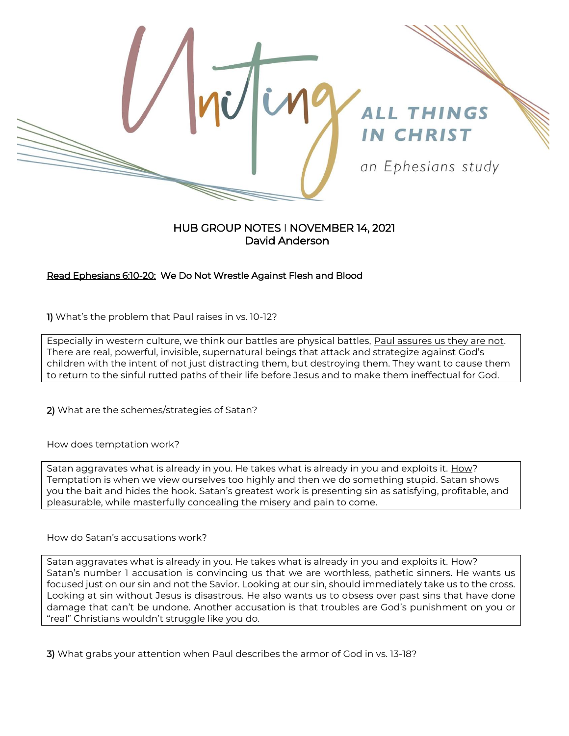

## HUB GROUP NOTES I NOVEMBER 14, 2021 David Anderson

## Read Ephesians 6:10-20: We Do Not Wrestle Against Flesh and Blood

1) What's the problem that Paul raises in vs. 10-12?

Especially in western culture, we think our battles are physical battles, Paul assures us they are not. There are real, powerful, invisible, supernatural beings that attack and strategize against God's children with the intent of not just distracting them, but destroying them. They want to cause them to return to the sinful rutted paths of their life before Jesus and to make them ineffectual for God.

2) What are the schemes/strategies of Satan?

How does temptation work?

Satan aggravates what is already in you. He takes what is already in you and exploits it. **How?** Temptation is when we view ourselves too highly and then we do something stupid. Satan shows you the bait and hides the hook. Satan's greatest work is presenting sin as satisfying, profitable, and pleasurable, while masterfully concealing the misery and pain to come.

How do Satan's accusations work?

Satan aggravates what is already in you. He takes what is already in you and exploits it. How? Satan's number 1 accusation is convincing us that we are worthless, pathetic sinners. He wants us focused just on our sin and not the Savior. Looking at our sin, should immediately take us to the cross. Looking at sin without Jesus is disastrous. He also wants us to obsess over past sins that have done damage that can't be undone. Another accusation is that troubles are God's punishment on you or "real" Christians wouldn't struggle like you do.

3) What grabs your attention when Paul describes the armor of God in vs. 13-18?